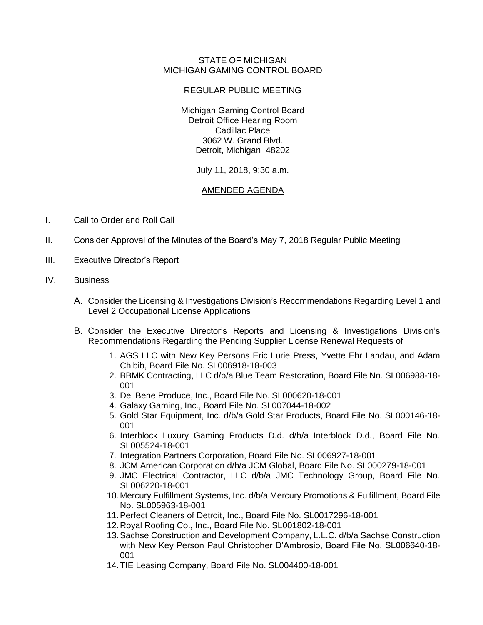## STATE OF MICHIGAN MICHIGAN GAMING CONTROL BOARD

## REGULAR PUBLIC MEETING

Michigan Gaming Control Board Detroit Office Hearing Room Cadillac Place 3062 W. Grand Blvd. Detroit, Michigan 48202

## July 11, 2018, 9:30 a.m.

## AMENDED AGENDA

- I. Call to Order and Roll Call
- II. Consider Approval of the Minutes of the Board's May 7, 2018 Regular Public Meeting
- III. Executive Director's Report
- IV. Business
	- A. Consider the Licensing & Investigations Division's Recommendations Regarding Level 1 and Level 2 Occupational License Applications
	- B. Consider the Executive Director's Reports and Licensing & Investigations Division's Recommendations Regarding the Pending Supplier License Renewal Requests of
		- 1. AGS LLC with New Key Persons Eric Lurie Press, Yvette Ehr Landau, and Adam Chibib, Board File No. SL006918-18-003
		- 2. BBMK Contracting, LLC d/b/a Blue Team Restoration, Board File No. SL006988-18- 001
		- 3. Del Bene Produce, Inc., Board File No. SL000620-18-001
		- 4. Galaxy Gaming, Inc., Board File No. SL007044-18-002
		- 5. Gold Star Equipment, Inc. d/b/a Gold Star Products, Board File No. SL000146-18- 001
		- 6. Interblock Luxury Gaming Products D.d. d/b/a Interblock D.d., Board File No. SL005524-18-001
		- 7. Integration Partners Corporation, Board File No. SL006927-18-001
		- 8. JCM American Corporation d/b/a JCM Global, Board File No. SL000279-18-001
		- 9. JMC Electrical Contractor, LLC d/b/a JMC Technology Group, Board File No. SL006220-18-001
		- 10.Mercury Fulfillment Systems, Inc. d/b/a Mercury Promotions & Fulfillment, Board File No. SL005963-18-001
		- 11.Perfect Cleaners of Detroit, Inc., Board File No. SL0017296-18-001
		- 12.Royal Roofing Co., Inc., Board File No. SL001802-18-001
		- 13.Sachse Construction and Development Company, L.L.C. d/b/a Sachse Construction with New Key Person Paul Christopher D'Ambrosio, Board File No. SL006640-18- 001
		- 14.TIE Leasing Company, Board File No. SL004400-18-001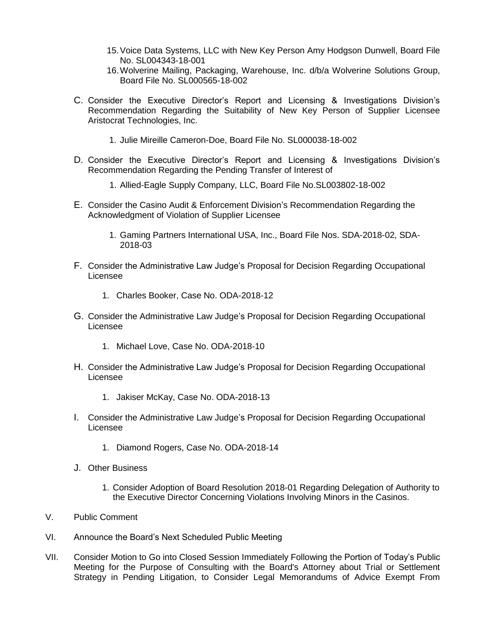- 15.Voice Data Systems, LLC with New Key Person Amy Hodgson Dunwell, Board File No. SL004343-18-001
- 16.Wolverine Mailing, Packaging, Warehouse, Inc. d/b/a Wolverine Solutions Group, Board File No. SL000565-18-002
- C. Consider the Executive Director's Report and Licensing & Investigations Division's Recommendation Regarding the Suitability of New Key Person of Supplier Licensee Aristocrat Technologies, Inc.
	- 1. Julie Mireille Cameron-Doe, Board File No. SL000038-18-002
- D. Consider the Executive Director's Report and Licensing & Investigations Division's Recommendation Regarding the Pending Transfer of Interest of
	- 1. Allied-Eagle Supply Company, LLC, Board File No.SL003802-18-002
- E. Consider the Casino Audit & Enforcement Division's Recommendation Regarding the Acknowledgment of Violation of Supplier Licensee
	- 1. Gaming Partners International USA, Inc., Board File Nos. SDA-2018-02, SDA-2018-03
- F. Consider the Administrative Law Judge's Proposal for Decision Regarding Occupational Licensee
	- 1. Charles Booker, Case No. ODA-2018-12
- G. Consider the Administrative Law Judge's Proposal for Decision Regarding Occupational Licensee
	- 1. Michael Love, Case No. ODA-2018-10
- H. Consider the Administrative Law Judge's Proposal for Decision Regarding Occupational Licensee
	- 1. Jakiser McKay, Case No. ODA-2018-13
- I. Consider the Administrative Law Judge's Proposal for Decision Regarding Occupational Licensee
	- 1. Diamond Rogers, Case No. ODA-2018-14
- J. Other Business
	- 1. Consider Adoption of Board Resolution 2018-01 Regarding Delegation of Authority to the Executive Director Concerning Violations Involving Minors in the Casinos.
- V. Public Comment
- VI. Announce the Board's Next Scheduled Public Meeting
- VII. Consider Motion to Go into Closed Session Immediately Following the Portion of Today's Public Meeting for the Purpose of Consulting with the Board's Attorney about Trial or Settlement Strategy in Pending Litigation, to Consider Legal Memorandums of Advice Exempt From